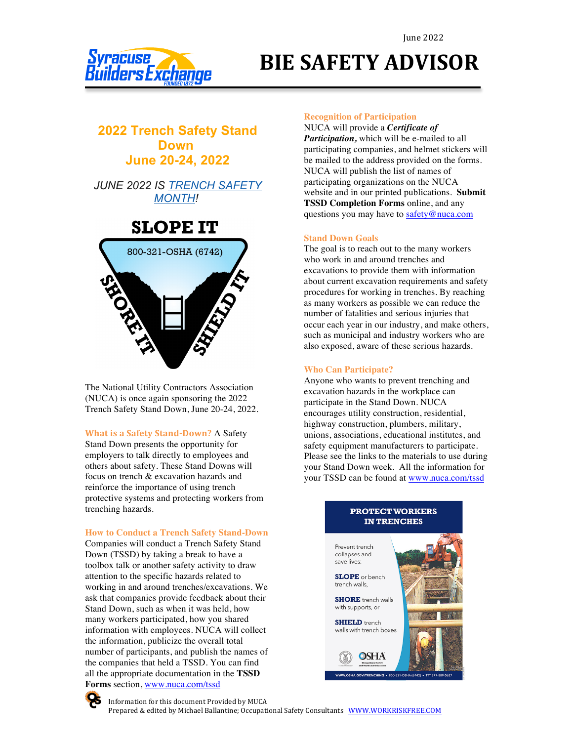

# **BIE SAFETY ADVISOR**

### **2022 Trench Safety Stand Down June 20-24, 2022**

*JUNE 2022 IS TRENCH SAFETY MONTH!*

## **SLOPE IT**



The National Utility Contractors Association (NUCA) is once again sponsoring the 2022 Trench Safety Stand Down, June 20-24, 2022.

**What is a Safety Stand-Down?** A Safety Stand Down presents the opportunity for employers to talk directly to employees and others about safety. These Stand Downs will focus on trench & excavation hazards and reinforce the importance of using trench protective systems and protecting workers from trenching hazards.

**How to Conduct a Trench Safety Stand-Down**

Companies will conduct a Trench Safety Stand Down (TSSD) by taking a break to have a toolbox talk or another safety activity to draw attention to the specific hazards related to working in and around trenches/excavations. We ask that companies provide feedback about their Stand Down, such as when it was held, how many workers participated, how you shared information with employees. NUCA will collect the information, publicize the overall total number of participants, and publish the names of the companies that held a TSSD. You can find all the appropriate documentation in the **TSSD Forms** section, www.nuca.com/tssd

#### **Recognition of Participation**

NUCA will provide a *Certificate of Participation,* which will be e-mailed to all participating companies, and helmet stickers will be mailed to the address provided on the forms. NUCA will publish the list of names of participating organizations on the NUCA website and in our printed publications. **Submit TSSD Completion Forms** online, and any questions you may have to safety@nuca.com

#### **Stand Down Goals**

The goal is to reach out to the many workers who work in and around trenches and excavations to provide them with information about current excavation requirements and safety procedures for working in trenches. By reaching as many workers as possible we can reduce the number of fatalities and serious injuries that occur each year in our industry, and make others, such as municipal and industry workers who are also exposed, aware of these serious hazards.

#### **Who Can Participate?**

Anyone who wants to prevent trenching and excavation hazards in the workplace can participate in the Stand Down. NUCA encourages utility construction, residential, highway construction, plumbers, military, unions, associations, educational institutes, and safety equipment manufacturers to participate. Please see the links to the materials to use during your Stand Down week. All the information for your TSSD can be found at www.nuca.com/tssd

#### **PROTECT WORKERS IN TRENCHES**





Information for this document Provided by MUCA Prepared & edited by Michael Ballantine; Occupational Safety Consultants WWW.WORKRISKFREE.COM